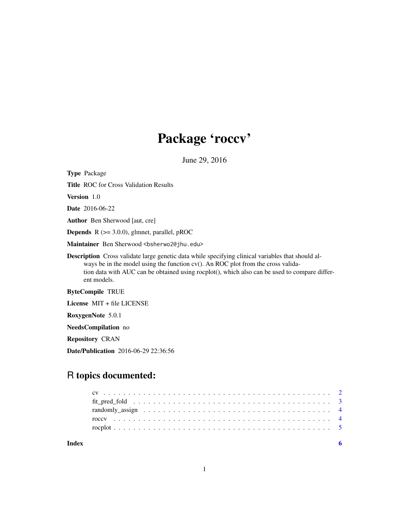## Package 'roccv'

June 29, 2016

Title ROC for Cross Validation Results Version 1.0 Date 2016-06-22 Author Ben Sherwood [aut, cre] **Depends**  $R$  ( $>= 3.0.0$ ), glmnet, parallel, pROC Maintainer Ben Sherwood <br/>bsherwo2@jhu.edu> Description Cross validate large genetic data while specifying clinical variables that should always be in the model using the function cv(). An ROC plot from the cross validation data with AUC can be obtained using rocplot(), which also can be used to compare different models. ByteCompile TRUE License MIT + file LICENSE RoxygenNote 5.0.1 NeedsCompilation no Repository CRAN

Date/Publication 2016-06-29 22:36:56

### R topics documented:

Type Package

| Index |  |  |  |  |  |  |  |  |  |  |  |  |  |  |  |  |  |  |
|-------|--|--|--|--|--|--|--|--|--|--|--|--|--|--|--|--|--|--|
|       |  |  |  |  |  |  |  |  |  |  |  |  |  |  |  |  |  |  |
|       |  |  |  |  |  |  |  |  |  |  |  |  |  |  |  |  |  |  |
|       |  |  |  |  |  |  |  |  |  |  |  |  |  |  |  |  |  |  |
|       |  |  |  |  |  |  |  |  |  |  |  |  |  |  |  |  |  |  |

1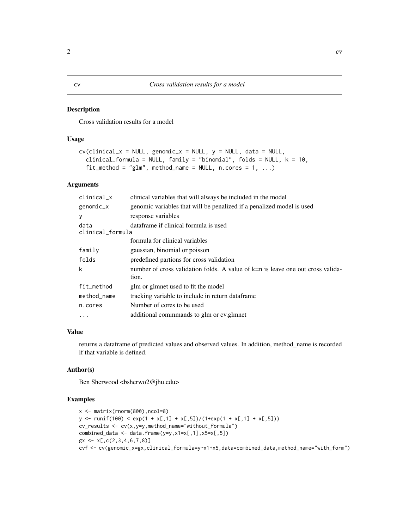#### <span id="page-1-0"></span>Description

Cross validation results for a model

#### Usage

```
cv(clinical_x = NULL, genomic_x = NULL, y = NULL, data = NULL,
  clinical_formula = NULL, family = "binomial", folds = NULL, k = 10,
  fit_method = "glm", method_name = NULL, n.core = 1, ...)
```
#### Arguments

| clinical_x               | clinical variables that will always be included in the model                             |
|--------------------------|------------------------------------------------------------------------------------------|
| genomic_x                | genomic variables that will be penalized if a penalized model is used                    |
| y                        | response variables                                                                       |
| data<br>clinical_formula | dataframe if clinical formula is used                                                    |
|                          | formula for clinical variables                                                           |
| family                   | gaussian, binomial or poisson                                                            |
| folds                    | predefined partions for cross validation                                                 |
| k                        | number of cross validation folds. A value of k=n is leave one out cross valida-<br>tion. |
| fit_method               | glm or glmnet used to fit the model                                                      |
| method_name              | tracking variable to include in return dataframe                                         |
| n.cores                  | Number of cores to be used                                                               |
| $\cdots$                 | additional communands to glm or cy.glmnet                                                |
|                          |                                                                                          |

#### Value

returns a dataframe of predicted values and observed values. In addition, method\_name is recorded if that variable is defined.

#### Author(s)

Ben Sherwood <bsherwo2@jhu.edu>

#### Examples

```
x <- matrix(rnorm(800),ncol=8)
y \le - runif(100) \le \exp(1 + x[,1] + x[,5]/(1+\exp(1 + x[,1] + x[,5]))cv_results <- cv(x,y=y,method_name="without_formula")
combined_data <- data.frame(y=y,x1=x[,1],x5=x[,5])
gx \leftarrow x[, c(2,3,4,6,7,8)]cvf <- cv(genomic_x=gx,clinical_formula=y~x1+x5,data=combined_data,method_name="with_form")
```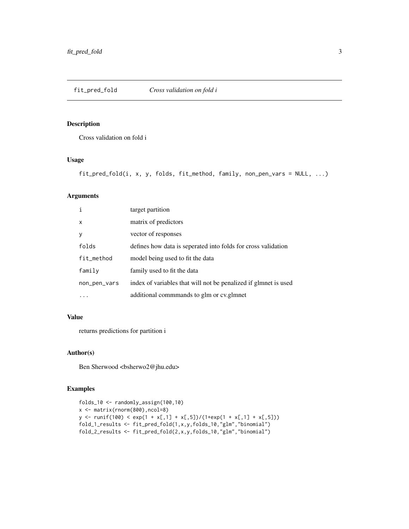<span id="page-2-0"></span>fit\_pred\_fold *Cross validation on fold i*

#### Description

Cross validation on fold i

#### Usage

```
fit_pred_fold(i, x, y, folds, fit_method, family, non_pen_vars = NULL, ...)
```
#### Arguments

| i                         | target partition                                                |
|---------------------------|-----------------------------------------------------------------|
| $\boldsymbol{\mathsf{x}}$ | matrix of predictors                                            |
| y                         | vector of responses                                             |
| folds                     | defines how data is seperated into folds for cross validation   |
| fit_method                | model being used to fit the data                                |
| family                    | family used to fit the data                                     |
| non_pen_vars              | index of variables that will not be penalized if glmnet is used |
| .                         | additional commmands to glm or cv.glmnet                        |

#### Value

returns predictions for partition i

#### Author(s)

Ben Sherwood <bsherwo2@jhu.edu>

#### Examples

```
folds_10 <- randomly_assign(100,10)
x <- matrix(rnorm(800),ncol=8)
y \le - runif(100) \le \exp(1 + x[,1] + x[,5]/(1+\exp(1 + x[,1] + x[,5]))fold_1_results <- fit_pred_fold(1,x,y,folds_10,"glm","binomial")
fold_2_results <- fit_pred_fold(2,x,y,folds_10,"glm","binomial")
```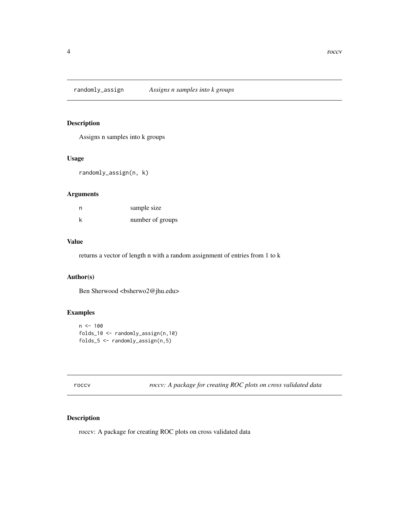<span id="page-3-0"></span>randomly\_assign *Assigns n samples into k groups*

#### Description

Assigns n samples into k groups

#### Usage

randomly\_assign(n, k)

#### Arguments

| n | sample size      |
|---|------------------|
| k | number of groups |

#### Value

returns a vector of length n with a random assignment of entries from 1 to k

#### Author(s)

Ben Sherwood <bsherwo2@jhu.edu>

#### Examples

```
n < -100folds_10 <- randomly_assign(n,10)
folds_5 <- randomly_assign(n,5)
```
roccv *roccv: A package for creating ROC plots on cross validated data*

#### Description

roccv: A package for creating ROC plots on cross validated data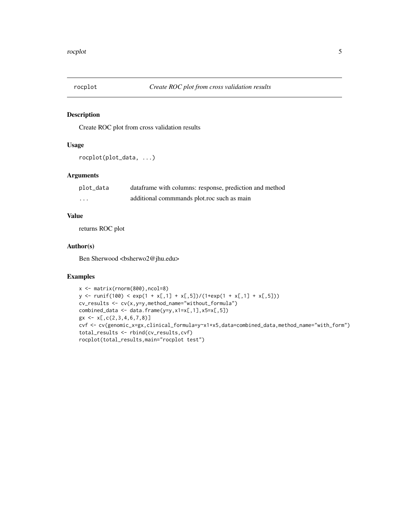<span id="page-4-0"></span>

#### Description

Create ROC plot from cross validation results

#### Usage

rocplot(plot\_data, ...)

#### Arguments

| plot_data               | dataframe with columns: response, prediction and method |
|-------------------------|---------------------------------------------------------|
| $\cdot$ $\cdot$ $\cdot$ | additional communands plot.roc such as main             |

#### Value

returns ROC plot

#### Author(s)

Ben Sherwood <bsherwo2@jhu.edu>

#### Examples

```
x <- matrix(rnorm(800),ncol=8)
y \le - runif(100) \le \exp(1 + x[,1] + x[,5]/(1+\exp(1 + x[,1] + x[,5]))cv_results \leq cv(x,y=y,method_name="without_formula")
combined_data <- data.frame(y=y,x1=x[,1],x5=x[,5])
gx \leftarrow x[, c(2,3,4,6,7,8)]cvf <- cv(genomic_x=gx,clinical_formula=y~x1+x5,data=combined_data,method_name="with_form")
total_results <- rbind(cv_results,cvf)
rocplot(total_results,main="rocplot test")
```